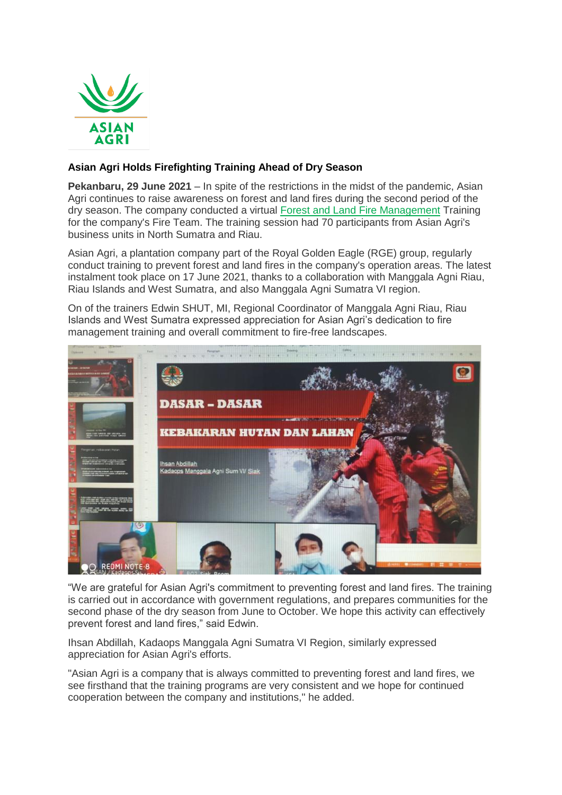

## **Asian Agri Holds Firefighting Training Ahead of Dry Season**

**Pekanbaru, 29 June 2021** – In spite of the restrictions in the midst of the pandemic, Asian Agri continues to raise awareness on forest and land fires during the second period of the dry season. The company conducted a virtual [Forest and Land Fire Management](https://www.asianagri.com/en/medias-ori/media/press-release/asian-agri-committed-to-preventing-forest-and-land-fires-in-the-midst-of-the-pandemic) Training for the company's Fire Team. The training session had 70 participants from Asian Agri's business units in North Sumatra and Riau.

Asian Agri, a plantation company part of the Royal Golden Eagle (RGE) group, regularly conduct training to prevent forest and land fires in the company's operation areas. The latest instalment took place on 17 June 2021, thanks to a collaboration with Manggala Agni Riau, Riau Islands and West Sumatra, and also Manggala Agni Sumatra VI region.

On of the trainers Edwin SHUT, MI, Regional Coordinator of Manggala Agni Riau, Riau Islands and West Sumatra expressed appreciation for Asian Agri's dedication to fire management training and overall commitment to fire-free landscapes.



"We are grateful for Asian Agri's commitment to preventing forest and land fires. The training is carried out in accordance with government regulations, and prepares communities for the second phase of the dry season from June to October. We hope this activity can effectively prevent forest and land fires," said Edwin.

Ihsan Abdillah, Kadaops Manggala Agni Sumatra VI Region, similarly expressed appreciation for Asian Agri's efforts.

"Asian Agri is a company that is always committed to preventing forest and land fires, we see firsthand that the training programs are very consistent and we hope for continued cooperation between the company and institutions," he added.